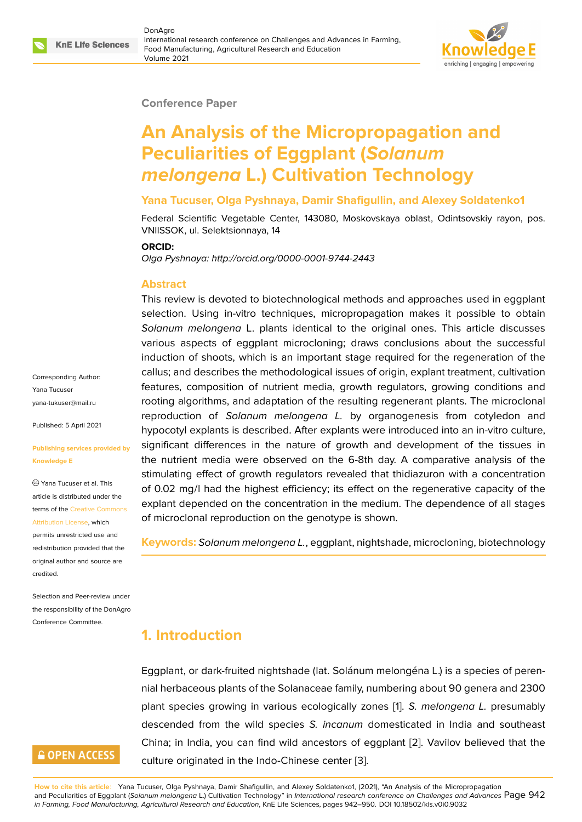

#### **Conference Paper**

# **An Analysis of the Micropropagation and Peculiarities of Eggplant (***Solanum melongena* **L.) Cultivation Technology**

#### **Yana Tucuser, Olga Pyshnaya, Damir Shafigullin, and Alexey Soldatenko1**

Federal Scientific Vegetable Center, 143080, Moskovskaya oblast, Odintsovskiy rayon, pos. VNIISSOK, ul. Selektsionnaya, 14

#### **ORCID:**

*Olga Pyshnaya: http://orcid.org/0000-0001-9744-2443*

#### **Abstract**

This review is devoted to biotechnological methods and approaches used in eggplant selection. Using in-vitro techniques, micropropagation makes it possible to obtain *Solanum melongena* L. plants identical to the original ones. This article discusses various aspects of eggplant microcloning; draws conclusions about the successful induction of shoots, which is an important stage required for the regeneration of the callus; and describes the methodological issues of origin, explant treatment, cultivation features, composition of nutrient media, growth regulators, growing conditions and rooting algorithms, and adaptation of the resulting regenerant plants. The microclonal reproduction of *Solanum melongena L.* by organogenesis from cotyledon and hypocotyl explants is described. After explants were introduced into an in-vitro culture, significant differences in the nature of growth and development of the tissues in the nutrient media were observed on the 6-8th day. A comparative analysis of the stimulating effect of growth regulators revealed that thidiazuron with a concentration of 0.02 mg/l had the highest efficiency; its effect on the regenerative capacity of the explant depended on the concentration in the medium. The dependence of all stages of microclonal reproduction on the genotype is shown.

**Keywords:** *Solanum melongena L.*, eggplant, nightshade, microcloning, biotechnology

### **1. Introduction**

Eggplant, or dark-fruited nightshade (lat. Solánum melongéna L.) is a species of perennial herbaceous plants of the Solanaceae family, numbering about 90 genera and 2300 plant species growing in various ecologically zones [1]. *S. melongena L.* presumably descended from the wild species *S. incanum* domesticated in India and southeast China; in India, you can find wild ancestors of eggplant [2]. Vavilov believed that the culture originated in the Indo-Chinese center [3].

**How to cite this article**: Yana Tucuser, Olga Pyshnaya, Damir Shafigullin, and Alexey Soldatenko1, (2021), "An Analysis of the Micropropagation and Peculiarities of Eggplant (*Solanum melongena* L.) Cultivation Technology" in *International research conference o[n C](#page-7-0)hallenges and Advances* Page 942 in Farming, Food Manufacturing, Agricultural Research and Education, KnE Life Sciences, pages 942[–9](#page-7-1)50. DOI 10.18502/kls.v0i0.9032

Corresponding Author: Yana Tucuser yana-tukuser@mail.ru

Published: 5 April 2021

#### **[Publishing services p](mailto:yana-tukuser@mail.ru)rovided by Knowledge E**

Yana Tucuser et al. This article is distributed under the terms of the Creative Commons Attribution License, which

permits unrestricted use and redistribution provided that the original auth[or and source are](https://creativecommons.org/licenses/by/4.0/) [credited.](https://creativecommons.org/licenses/by/4.0/)

Selection and Peer-review under the responsibility of the DonAgro Conference Committee.

### **GOPEN ACCESS**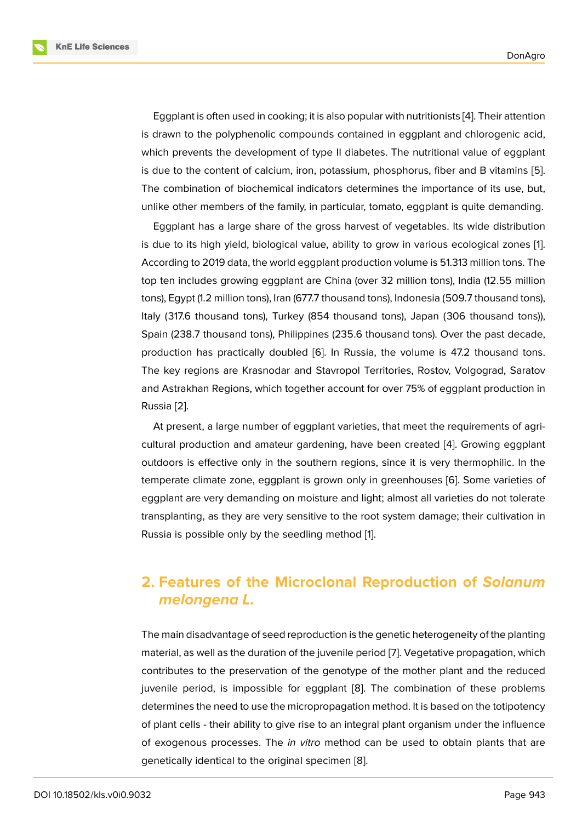Eggplant is often used in cooking; it is also popular with nutritionists [4]. Their attention is drawn to the polyphenolic compounds contained in eggplant and chlorogenic acid, which prevents the development of type II diabetes. The nutritional value of eggplant is due to the content of calcium, iron, potassium, phosphorus, fiber a[nd](#page-7-2) B vitamins [5]. The combination of biochemical indicators determines the importance of its use, but, unlike other members of the family, in particular, tomato, eggplant is quite demanding.

Eggplant has a large share of the gross harvest of vegetables. Its wide distributi[on](#page-7-3) is due to its high yield, biological value, ability to grow in various ecological zones [1]. According to 2019 data, the world eggplant production volume is 51.313 million tons. The top ten includes growing eggplant are China (over 32 million tons), India (12.55 million tons), Egypt (1.2 million tons), Iran (677.7 thousand tons), Indonesia (509.7 thousand ton[s](#page-7-4)), Italy (317.6 thousand tons), Turkey (854 thousand tons), Japan (306 thousand tons)), Spain (238.7 thousand tons), Philippines (235.6 thousand tons). Over the past decade, production has practically doubled [6]. In Russia, the volume is 47.2 thousand tons. The key regions are Krasnodar and Stavropol Territories, Rostov, Volgograd, Saratov and Astrakhan Regions, which together account for over 75% of eggplant production in Russia [2].

At present, a large number of eggplant varieties, that meet the requirements of agricultural production and amateur gardening, have been created [4]. Growing eggplant outdoo[rs](#page-7-0) is effective only in the southern regions, since it is very thermophilic. In the temperate climate zone, eggplant is grown only in greenhouses [6]. Some varieties of eggplant are very demanding on moisture and light; almost all va[rie](#page-7-2)ties do not tolerate transplanting, as they are very sensitive to the root system damage; their cultivation in Russia is possible only by the seedling method [1].

# **2. Features of the Microclonal [R](#page-7-4)eproduction of** *Solanum melongena L.*

The main disadvantage of seed reproduction is the genetic heterogeneity of the planting material, as well as the duration of the juvenile period [7]. Vegetative propagation, which contributes to the preservation of the genotype of the mother plant and the reduced juvenile period, is impossible for eggplant [8]. The combination of these problems determines the need to use the micropropagation met[ho](#page-7-5)d. It is based on the totipotency of plant cells - their ability to give rise to an integral plant organism under the influence of exogenous processes. The *in vitro* metho[d](#page-7-6) can be used to obtain plants that are genetically identical to the original specimen [8].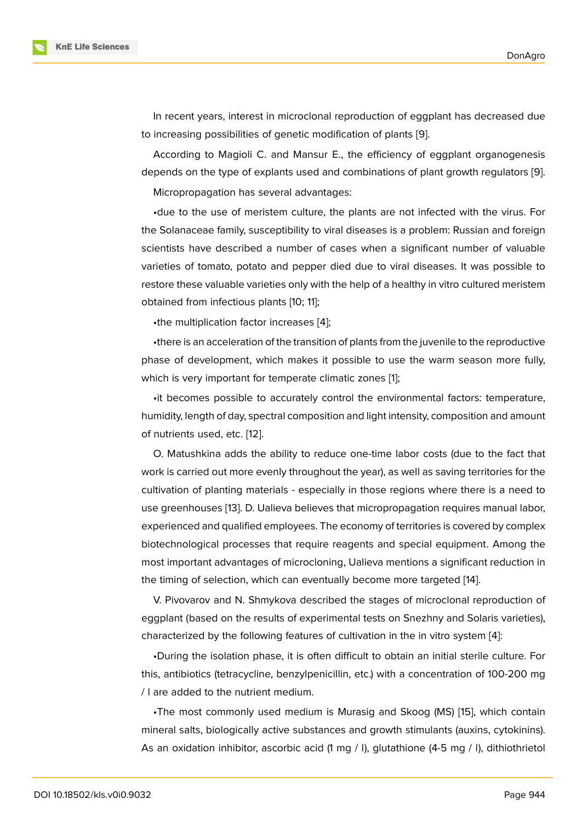In recent years, interest in microclonal reproduction of eggplant has decreased due to increasing possibilities of genetic modification of plants [9].

According to Magioli C. and Mansur E., the efficiency of eggplant organogenesis depends on the type of explants used and combinations of plant growth regulators [9]. Micropropagation has several advantages:

•due to the use of meristem culture, the plants are not infected with the virus. For the Solanaceae family, susceptibility to viral diseases is a problem: Russian and forei[gn](#page-7-7) scientists have described a number of cases when a significant number of valuable varieties of tomato, potato and pepper died due to viral diseases. It was possible to restore these valuable varieties only with the help of a healthy in vitro cultured meristem obtained from infectious plants [10; 11];

•the multiplication factor increases [4];

•there is an acceleration of the transition of plants from the juvenile to the reproductive phase of development, which makes it possible to use the warm season more fully, which is very important for temperate [cl](#page-7-2)imatic zones [1];

•it becomes possible to accurately control the environmental factors: temperature, humidity, length of day, spectral composition and light intensity, composition and amount of nutrients used, etc. [12].

O. Matushkina adds the ability to reduce one-time labor costs (due to the fact that work is carried out more evenly throughout the year), as well as saving territories for the cultivation of planting [ma](#page-8-0)terials - especially in those regions where there is a need to use greenhouses [13]. D. Ualieva believes that micropropagation requires manual labor, experienced and qualified employees. The economy of territories is covered by complex biotechnological processes that require reagents and special equipment. Among the most important ad[van](#page-8-1)tages of microcloning, Ualieva mentions a significant reduction in the timing of selection, which can eventually become more targeted [14].

V. Pivovarov and N. Shmykova described the stages of microclonal reproduction of eggplant (based on the results of experimental tests on Snezhny and Solaris varieties), characterized by the following features of cultivation in the in vitro sy[ste](#page-8-2)m [4]:

•During the isolation phase, it is often difficult to obtain an initial sterile culture. For this, antibiotics (tetracycline, benzylpenicillin, etc.) with a concentration of 100-200 mg / l are added to the nutrient medium.

•The most commonly used medium is Murasig and Skoog (MS) [15], which contain mineral salts, biologically active substances and growth stimulants (auxins, cytokinins). As an oxidation inhibitor, ascorbic acid (1 mg / l), glutathione (4-5 mg / l), dithiothrietol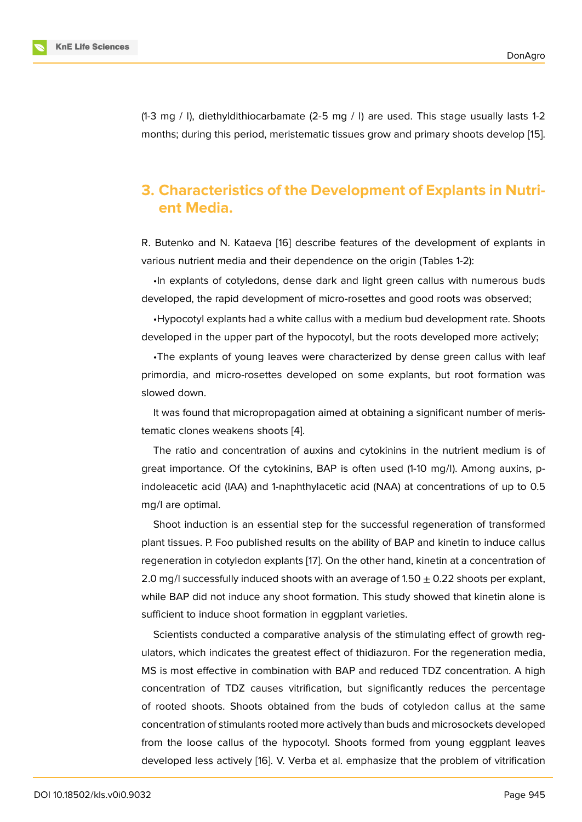(1-3 mg / l), diethyldithiocarbamate (2-5 mg / l) are used. This stage usually lasts 1-2 months; during this period, meristematic tissues grow and primary shoots develop [15].

# **3. Characteristics of the Development of Explants in Nu[tri](#page-8-3)ent Media.**

R. Butenko and N. Kataeva [16] describe features of the development of explants in various nutrient media and their dependence on the origin (Tables 1-2):

•In explants of cotyledons, dense dark and light green callus with numerous buds developed, the rapid develo[pm](#page-8-4)ent of micro-rosettes and good roots was observed;

•Hypocotyl explants had a white callus with a medium bud development rate. Shoots developed in the upper part of the hypocotyl, but the roots developed more actively;

•The explants of young leaves were characterized by dense green callus with leaf primordia, and micro-rosettes developed on some explants, but root formation was slowed down.

It was found that micropropagation aimed at obtaining a significant number of meristematic clones weakens shoots [4].

The ratio and concentration of auxins and cytokinins in the nutrient medium is of great importance. Of the cytokinins, BAP is often used (1-10 mg/l). Among auxins, pindoleacetic acid (IAA) and 1-na[ph](#page-7-2)thylacetic acid (NAA) at concentrations of up to 0.5 mg/l are optimal.

Shoot induction is an essential step for the successful regeneration of transformed plant tissues. P. Foo published results on the ability of BAP and kinetin to induce callus regeneration in cotyledon explants [17]. On the other hand, kinetin at a concentration of 2.0 mg/l successfully induced shoots with an average of 1.50  $\pm$  0.22 shoots per explant, while BAP did not induce any shoot formation. This study showed that kinetin alone is sufficient to induce shoot formation [in](#page-8-5) eggplant varieties.

Scientists conducted a comparative analysis of the stimulating effect of growth regulators, which indicates the greatest effect of thidiazuron. For the regeneration media, MS is most effective in combination with BAP and reduced TDZ concentration. A high concentration of TDZ causes vitrification, but significantly reduces the percentage of rooted shoots. Shoots obtained from the buds of cotyledon callus at the same concentration of stimulants rooted more actively than buds and microsockets developed from the loose callus of the hypocotyl. Shoots formed from young eggplant leaves developed less actively [16]. V. Verba et al. emphasize that the problem of vitrification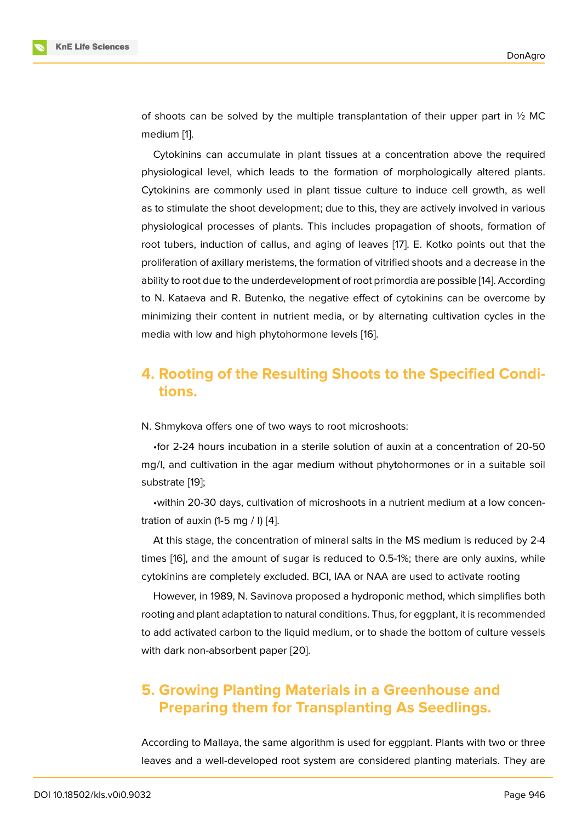of shoots can be solved by the multiple transplantation of their upper part in  $\frac{1}{2}$  MC medium [1].

Cytokinins can accumulate in plant tissues at a concentration above the required physiological level, which leads to the formation of morphologically altered plants. Cytokini[ns](#page-7-4) are commonly used in plant tissue culture to induce cell growth, as well as to stimulate the shoot development; due to this, they are actively involved in various physiological processes of plants. This includes propagation of shoots, formation of root tubers, induction of callus, and aging of leaves [17]. E. Kotko points out that the proliferation of axillary meristems, the formation of vitrified shoots and a decrease in the ability to root due to the underdevelopment of root primordia are possible [14]. According to N. Kataeva and R. Butenko, the negative effect of [cy](#page-8-5)tokinins can be overcome by minimizing their content in nutrient media, or by alternating cultivation cycles in the media with low and high phytohormone levels [16].

### **4. Rooting of the Resulting Sho[ot](#page-8-4)s to the Specified Conditions.**

N. Shmykova offers one of two ways to root microshoots:

•for 2-24 hours incubation in a sterile solution of auxin at a concentration of 20-50 mg/l, and cultivation in the agar medium without phytohormones or in a suitable soil substrate [19];

•within 20-30 days, cultivation of microshoots in a nutrient medium at a low concentration of auxin  $(1-5 \text{ mg } / \text{ I})$  [4].

At this [stag](#page-8-6)e, the concentration of mineral salts in the MS medium is reduced by 2-4 times [16], and the amount of sugar is reduced to 0.5-1%; there are only auxins, while cytokinins are completely [ex](#page-7-2)cluded. BCI, IAA or NAA are used to activate rooting

However, in 1989, N. Savinova proposed a hydroponic method, which simplifies both rootin[g an](#page-8-4)d plant adaptation to natural conditions. Thus, for eggplant, it is recommended to add activated carbon to the liquid medium, or to shade the bottom of culture vessels with dark non-absorbent paper [20].

## **5. Growing Planting Materials in a Greenhouse and Preparing them for [Tr](#page-8-7)ansplanting As Seedlings.**

According to Mallaya, the same algorithm is used for eggplant. Plants with two or three leaves and a well-developed root system are considered planting materials. They are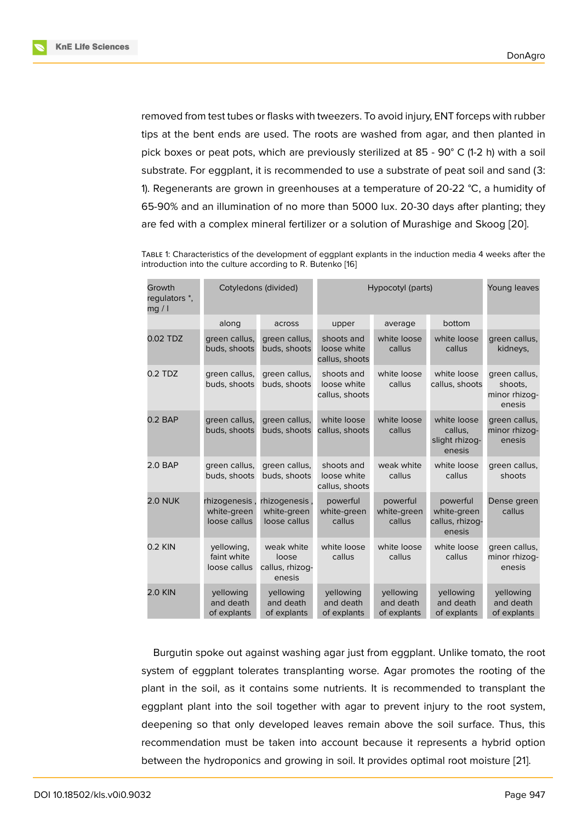removed from test tubes or flasks with tweezers. To avoid injury, ENT forceps with rubber tips at the bent ends are used. The roots are washed from agar, and then planted in pick boxes or peat pots, which are previously sterilized at 85 - 90° C (1-2 h) with a soil substrate. For eggplant, it is recommended to use a substrate of peat soil and sand (3: 1). Regenerants are grown in greenhouses at a temperature of 20-22 °C, a humidity of 65-90% and an illumination of no more than 5000 lux. 20-30 days after planting; they are fed with a complex mineral fertilizer or a solution of Murashige and Skoog [20].

TABLE 1: Characteristics of the development of eggplant explants in the induction media 4 weeks after the introduction into the culture according to R. Butenko [16]

| Growth<br>regulators *,<br>mq / l | Cotyledons (divided)                         |                                                  | Hypocotyl (parts)                           |                                       |                                                      | Young leaves                                        |
|-----------------------------------|----------------------------------------------|--------------------------------------------------|---------------------------------------------|---------------------------------------|------------------------------------------------------|-----------------------------------------------------|
|                                   | along                                        | across                                           | upper                                       | average                               | bottom                                               |                                                     |
| 0.02 TDZ                          | green callus,<br>buds, shoots                | green callus,<br>buds, shoots                    | shoots and<br>loose white<br>callus, shoots | white loose<br>callus                 | white loose<br>callus                                | green callus,<br>kidneys,                           |
| $0.2$ TDZ                         | green callus,<br>buds, shoots                | green callus,<br>buds, shoots                    | shoots and<br>loose white<br>callus, shoots | white loose<br>callus                 | white loose<br>callus, shoots                        | green callus,<br>shoots.<br>minor rhizog-<br>enesis |
| $0.2$ BAP                         | green callus,<br>buds, shoots                | green callus,<br>buds, shoots                    | white loose<br>callus, shoots               | white loose<br>callus                 | white loose<br>callus,<br>slight rhizog-<br>enesis   | green callus,<br>minor rhizog-<br>enesis            |
| 2.0 BAP                           | green callus,<br>buds, shoots                | green callus,<br>buds, shoots                    | shoots and<br>loose white<br>callus, shoots | weak white<br>callus                  | white loose<br>callus                                | green callus,<br>shoots                             |
| <b>2.0 NUK</b>                    | rhizogenesis,<br>white-green<br>loose callus | rhizogenesis<br>white-green<br>loose callus      | powerful<br>white-green<br>callus           | powerful<br>white-green<br>callus     | powerful<br>white-green<br>callus, rhizoq-<br>enesis | Dense green<br>callus                               |
| $0.2$ KIN                         | yellowing,<br>faint white<br>loose callus    | weak white<br>loose<br>callus, rhizoq-<br>enesis | white loose<br>callus                       | white loose<br>callus                 | white loose<br>callus                                | green callus,<br>minor rhizoq-<br>enesis            |
| <b>2.0 KIN</b>                    | yellowing<br>and death<br>of explants        | yellowing<br>and death<br>of explants            | yellowing<br>and death<br>of explants       | yellowing<br>and death<br>of explants | yellowing<br>and death<br>of explants                | yellowing<br>and death<br>of explants               |

Burgutin spoke out against washing agar just from eggplant. Unlike tomato, the root system of eggplant tolerates transplanting worse. Agar promotes the rooting of the plant in the soil, as it contains some nutrients. It is recommended to transplant the eggplant plant into the soil together with agar to prevent injury to the root system, deepening so that only developed leaves remain above the soil surface. Thus, this recommendation must be taken into account because it represents a hybrid option between the hydroponics and growing in soil. It provides optimal root moisture [21].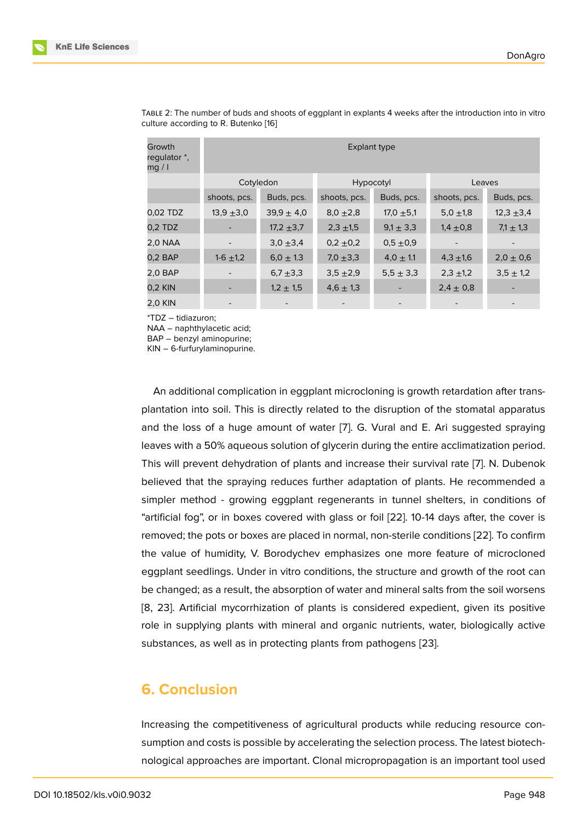| Growth<br>regulator *,<br>mg / l | Explant type  |                |                |                          |               |               |  |  |  |
|----------------------------------|---------------|----------------|----------------|--------------------------|---------------|---------------|--|--|--|
|                                  | Cotyledon     |                | Hypocotyl      |                          | Leaves        |               |  |  |  |
|                                  | shoots, pcs.  | Buds, pcs.     | shoots, pcs.   | Buds, pcs.               | shoots, pcs.  | Buds, pcs.    |  |  |  |
| 0,02 TDZ                         | $13,9 + 3,0$  | $39.9 \pm 4.0$ | $8,0, \pm 2,8$ | $17,0, \pm 5,1$          | 5,0,1,8       | $12,3 + 3,4$  |  |  |  |
| $0.2$ TDZ                        |               | $17,2 +3,7$    | $2,3 + 1,5$    | $9.1 \pm 3.3$            | $1,4 \pm 0,8$ | $7.1 \pm 1.3$ |  |  |  |
| <b>2,0 NAA</b>                   |               | $3,0, \pm 3,4$ | $0.2 \pm 0.2$  | $0.5 \pm 0.9$            |               |               |  |  |  |
| $0.2$ BAP                        | $1-6 \pm 1,2$ | $6.0 \pm 1.3$  | 7,0 $\pm$ 3,3  | $4.0 \pm 1.1$            | $4,3 \pm 1,6$ | $2,0 \pm 0,6$ |  |  |  |
| 2,0 BAP                          |               | 6,7 $\pm$ 3,3  | $3,5 + 2,9$    | $5,5 \pm 3,3$            | $2,3 \pm 1,2$ | $3,5 \pm 1,2$ |  |  |  |
| 0.2 KIN                          |               | $1,2 \pm 1,5$  | $4,6 \pm 1,3$  | ٠                        | $2,4 \pm 0,8$ |               |  |  |  |
| 2,0 KIN                          |               |                |                | $\overline{\phantom{a}}$ |               |               |  |  |  |

TABLE 2: The number of buds and shoots of eggplant in explants 4 weeks after the introduction into in vitro culture according to R. Butenko [16]

\*TDZ – tidiazuron;

NAA – naphthylacetic acid;

BAP – benzyl aminopurine;

KIN – 6-furfurylaminopurine.

An additional complication in eggplant microcloning is growth retardation after transplantation into soil. This is directly related to the disruption of the stomatal apparatus and the loss of a huge amount of water [7]. G. Vural and E. Ari suggested spraying leaves with a 50% aqueous solution of glycerin during the entire acclimatization period. This will prevent dehydration of plants and increase their survival rate [7]. N. Dubenok believed that the spraying reduces furthe[r a](#page-7-5)daptation of plants. He recommended a simpler method - growing eggplant regenerants in tunnel shelters, in conditions of "artificial fog", or in boxes covered with glass or foil [22]. 10-14 days af[te](#page-7-5)r, the cover is removed; the pots or boxes are placed in normal, non-sterile conditions [22]. To confirm the value of humidity, V. Borodychev emphasizes one more feature of microcloned eggplant seedlings. Under in vitro conditions, the str[uctu](#page-8-8)re and growth of the root can be changed; as a result, the absorption of water and mineral salts from t[he s](#page-8-8)oil worsens [8, 23]. Artificial mycorrhization of plants is considered expedient, given its positive role in supplying plants with mineral and organic nutrients, water, biologically active substances, as well as in protecting plants from pathogens [23].

### **6. Conclusion**

Increasing the competitiveness of agricultural products while reducing resource consumption and costs is possible by accelerating the selection process. The latest biotechnological approaches are important. Clonal micropropagation is an important tool used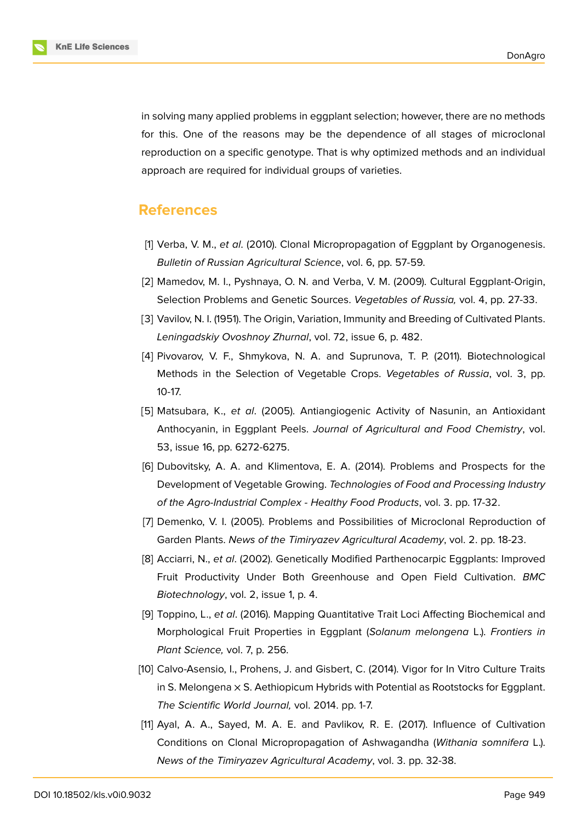

in solving many applied problems in eggplant selection; however, there are no methods for this. One of the reasons may be the dependence of all stages of microclonal reproduction on a specific genotype. That is why optimized methods and an individual approach are required for individual groups of varieties.

### **References**

- <span id="page-7-4"></span>[1] Verba, V. M., *et al*. (2010). Clonal Micropropagation of Eggplant by Organogenesis. *Bulletin of Russian Agricultural Science*, vol. 6, pp. 57-59.
- <span id="page-7-0"></span>[2] Mamedov, M. I., Pyshnaya, O. N. and Verba, V. M. (2009). Cultural Eggplant-Origin, Selection Problems and Genetic Sources. *Vegetables of Russia,* vol. 4, pp. 27-33.
- <span id="page-7-1"></span>[3] Vavilov, N. I. (1951). The Origin, Variation, Immunity and Breeding of Cultivated Plants. *Leningadskiy Ovoshnoy Zhurnal*, vol. 72, issue 6, p. 482.
- <span id="page-7-2"></span>[4] Pivovarov, V. F., Shmykova, N. A. and Suprunova, T. P. (2011). Biotechnological Methods in the Selection of Vegetable Crops. *Vegetables of Russia*, vol. 3, pp. 10-17.
- <span id="page-7-3"></span>[5] Matsubara, K., *et al*. (2005). Antiangiogenic Activity of Nasunin, an Antioxidant Anthocyanin, in Eggplant Peels. *Journal of Agricultural and Food Chemistry*, vol. 53, issue 16, pp. 6272-6275.
- [6] Dubovitsky, A. A. and Klimentova, E. A. (2014). Problems and Prospects for the Development of Vegetable Growing. *Technologies of Food and Processing Industry of the Agro-Industrial Complex - Healthy Food Products*, vol. 3. pp. 17-32.
- <span id="page-7-5"></span>[7] Demenko, V. I. (2005). Problems and Possibilities of Microclonal Reproduction of Garden Plants. *News of the Timiryazev Agricultural Academy*, vol. 2. pp. 18-23.
- <span id="page-7-6"></span>[8] Acciarri, N., *et al*. (2002). Genetically Modified Parthenocarpic Eggplants: Improved Fruit Productivity Under Both Greenhouse and Open Field Cultivation. *BMC Biotechnology*, vol. 2, issue 1, p. 4.
- <span id="page-7-7"></span>[9] Toppino, L., *et al*. (2016). Mapping Quantitative Trait Loci Affecting Biochemical and Morphological Fruit Properties in Eggplant (*Solanum melongena* L.). *Frontiers in Plant Science,* vol. 7, p. 256.
- [10] Calvo-Asensio, I., Prohens, J. and Gisbert, C. (2014). Vigor for In Vitro Culture Traits in S. Melongena  $\times$  S. Aethiopicum Hybrids with Potential as Rootstocks for Eggplant. *The Scientific World Journal,* vol. 2014. pp. 1-7.
- [11] Ayal, A. A., Sayed, M. A. E. and Pavlikov, R. E. (2017). Influence of Cultivation Conditions on Clonal Micropropagation of Ashwagandha (*Withania somnifera* L.). *News of the Timiryazev Agricultural Academy*, vol. 3. pp. 32-38.